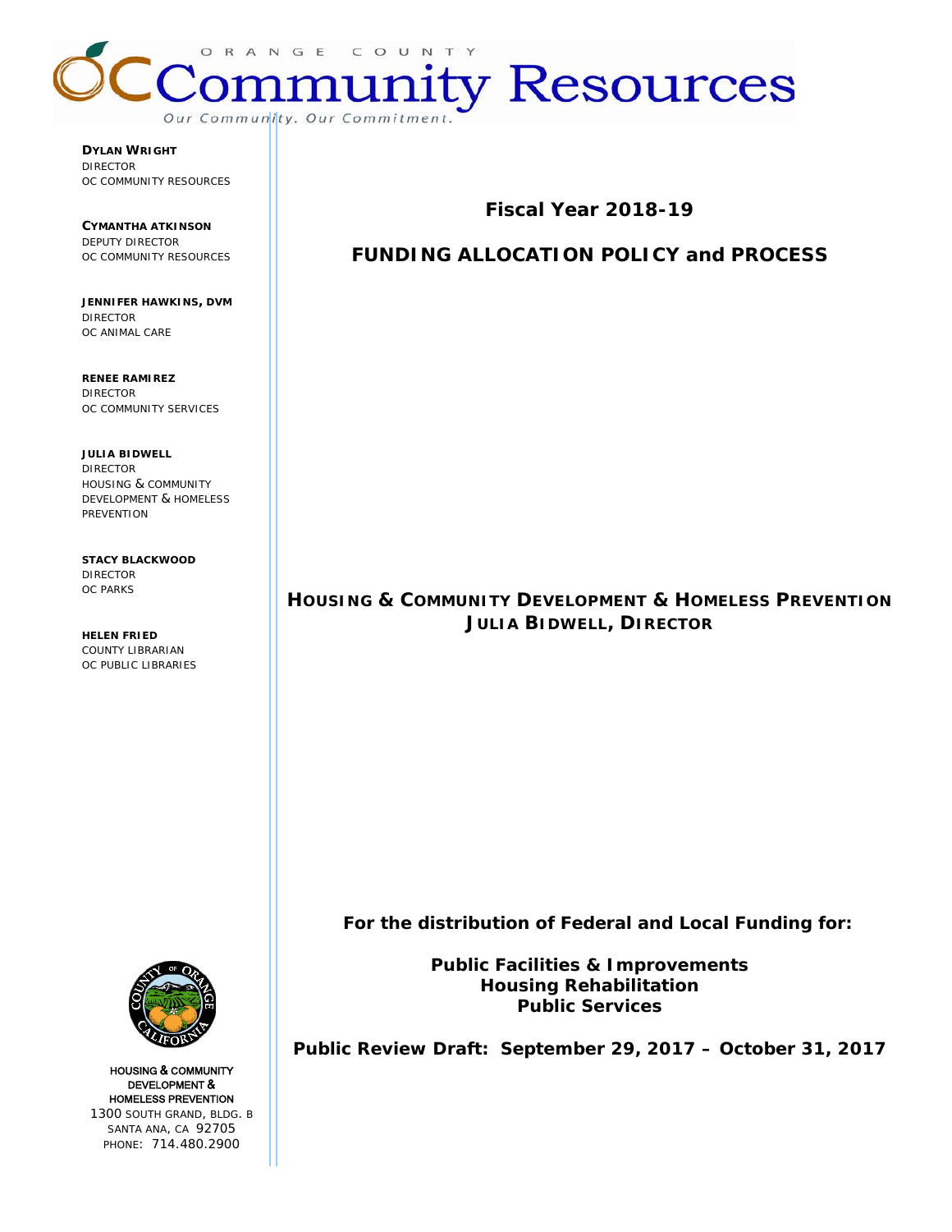

**DYLAN WRIGHT** DIRECTOR OC COMMUNITY RESOURCES

**CYMANTHA ATKINSON** DEPUTY DIRECTOR OC COMMUNITY RESOURCES

**JENNIFER HAWKINS, DVM** DIRECTOR OC ANIMAL CARE

**RENEE RAMIREZ** DIRECTOR OC COMMUNITY SERVICES

**JULIA BIDWELL** DIRECTOR HOUSING & COMMUNITY DEVELOPMENT & HOMELESS PREVENTION

**STACY BLACKWOOD** DIRECTOR OC PARKS

**HELEN FRIED** COUNTY LIBRARIAN OC PUBLIC LIBRARIES **Fiscal Year 2018-19**

# **FUNDING ALLOCATION POLICY and PROCESS**

# **HOUSING & COMMUNITY DEVELOPMENT & HOMELESS PREVENTION JULIA BIDWELL, DIRECTOR**

 **For the distribution of Federal and Local Funding for:**

**Public Facilities & Improvements Housing Rehabilitation Public Services**

**Public Review Draft: September 29, 2017 – October 31, 2017**



HOUSING & COMMUNITY DEVELOPMENT & HOMELESS PREVENTION 1300 SOUTH GRAND, BLDG. B SANTA ANA, CA 92705 PHONE: 714.480.2900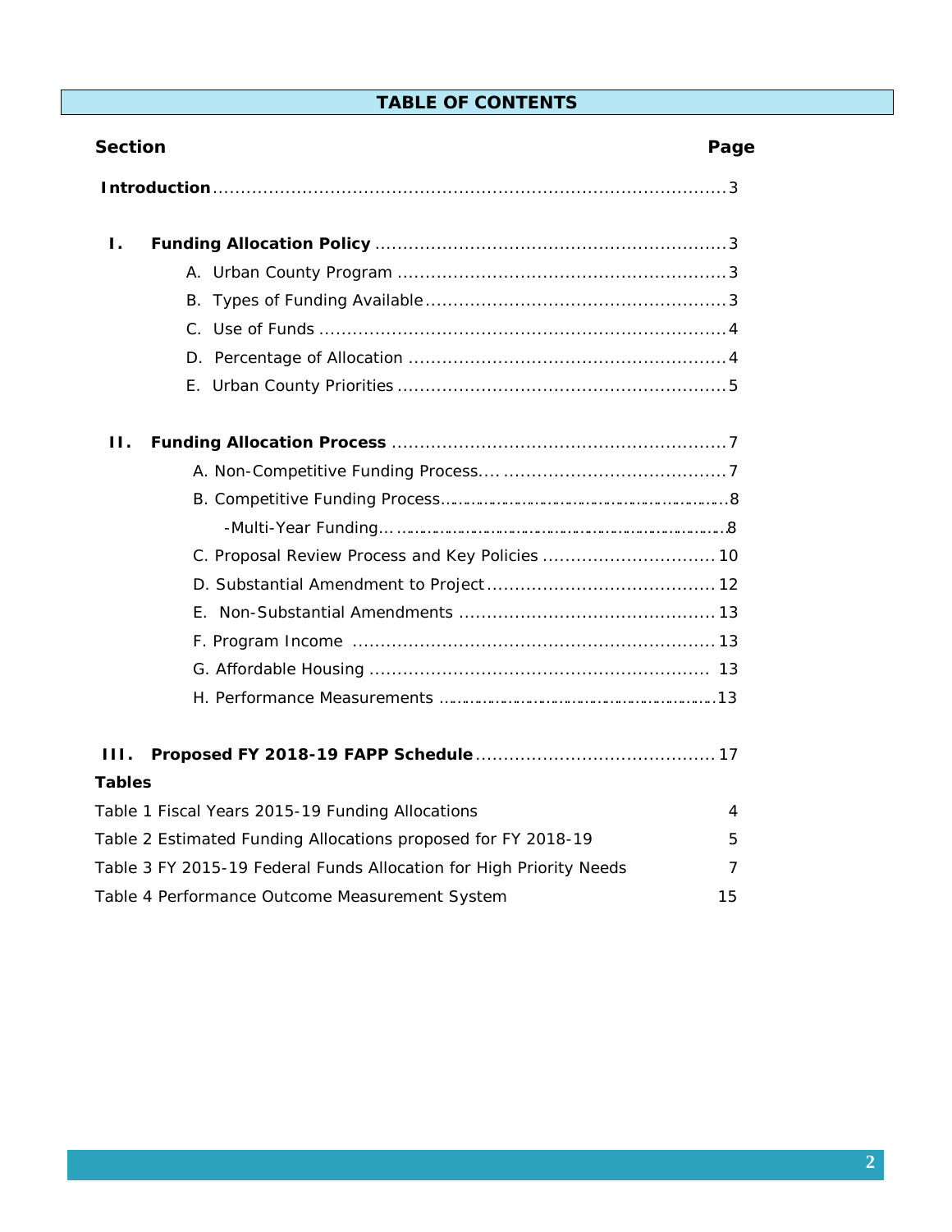# **TABLE OF CONTENTS**

| <b>Section</b>                                                      | Page |
|---------------------------------------------------------------------|------|
|                                                                     |      |
| Ι.                                                                  |      |
|                                                                     |      |
|                                                                     |      |
|                                                                     |      |
|                                                                     |      |
|                                                                     |      |
| Н.                                                                  |      |
|                                                                     |      |
|                                                                     |      |
|                                                                     |      |
|                                                                     |      |
|                                                                     |      |
|                                                                     |      |
|                                                                     |      |
|                                                                     |      |
|                                                                     |      |
| HL.                                                                 |      |
| <b>Tables</b>                                                       |      |
| Table 1 Fiscal Years 2015-19 Funding Allocations                    | 4    |
| Table 2 Estimated Funding Allocations proposed for FY 2018-19       | 5    |
| Table 3 FY 2015-19 Federal Funds Allocation for High Priority Needs | 7    |
| Table 4 Performance Outcome Measurement System                      | 15   |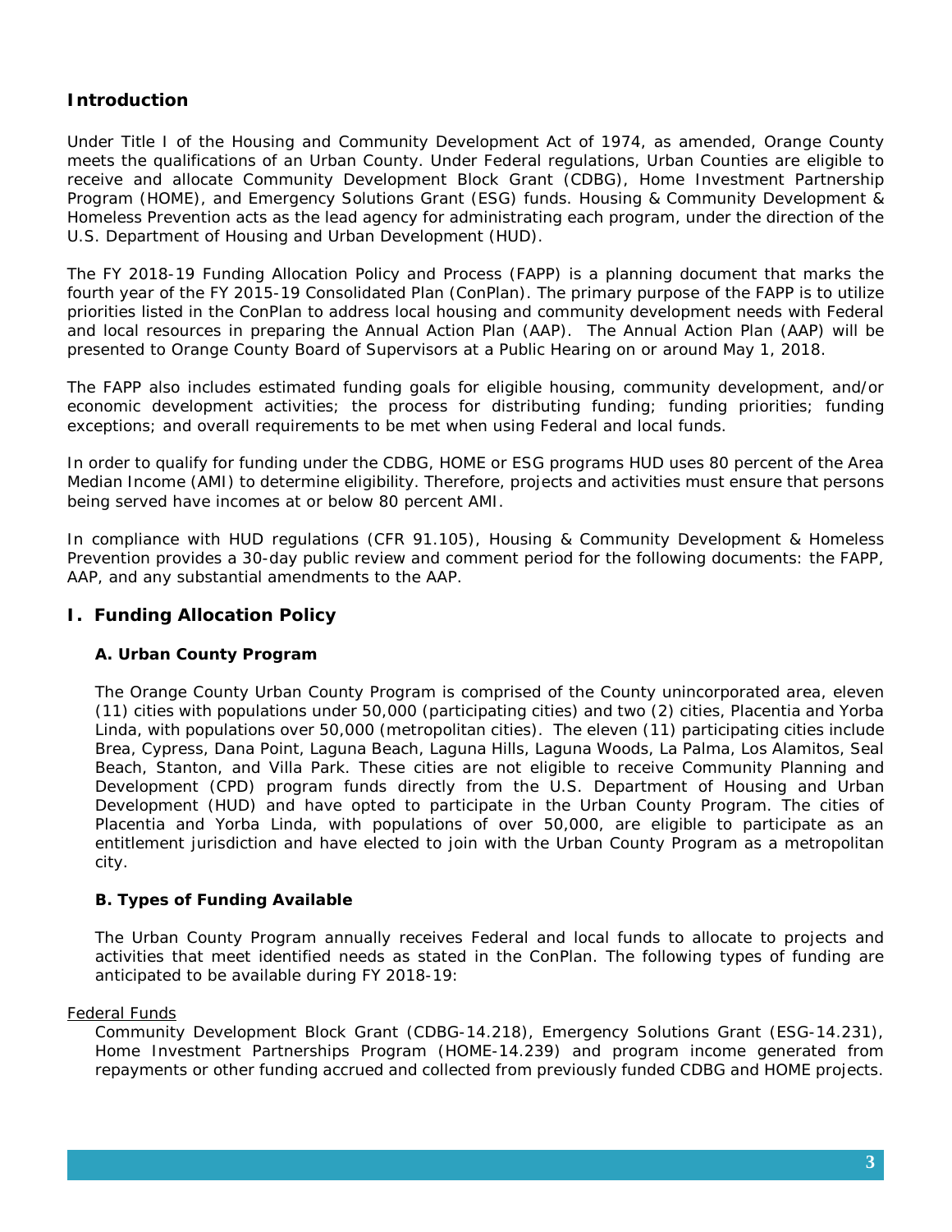## **Introduction**

Under Title I of the Housing and Community Development Act of 1974, as amended, Orange County meets the qualifications of an Urban County. Under Federal regulations, Urban Counties are eligible to receive and allocate Community Development Block Grant (CDBG), Home Investment Partnership Program (HOME), and Emergency Solutions Grant (ESG) funds. Housing & Community Development & Homeless Prevention acts as the lead agency for administrating each program, under the direction of the U.S. Department of Housing and Urban Development (HUD).

The FY 2018-19 Funding Allocation Policy and Process (FAPP) is a planning document that marks the fourth year of the FY 2015-19 Consolidated Plan (ConPlan). The primary purpose of the FAPP is to utilize priorities listed in the ConPlan to address local housing and community development needs with Federal and local resources in preparing the Annual Action Plan (AAP). The Annual Action Plan (AAP) will be presented to Orange County Board of Supervisors at a Public Hearing on or around May 1, 2018.

The FAPP also includes estimated funding goals for eligible housing, community development, and/or economic development activities; the process for distributing funding; funding priorities; funding exceptions; and overall requirements to be met when using Federal and local funds.

In order to qualify for funding under the CDBG, HOME or ESG programs HUD uses 80 percent of the Area Median Income (AMI) to determine eligibility. Therefore, projects and activities must ensure that persons being served have incomes at or below 80 percent AMI.

In compliance with HUD regulations (CFR 91.105), Housing & Community Development & Homeless Prevention provides a 30-day public review and comment period for the following documents: the FAPP, AAP, and any substantial amendments to the AAP.

## **I. Funding Allocation Policy**

## **A. Urban County Program**

The Orange County Urban County Program is comprised of the County unincorporated area, eleven (11) cities with populations under 50,000 (participating cities) and two (2) cities, Placentia and Yorba Linda, with populations over 50,000 (metropolitan cities). The eleven (11) participating cities include Brea, Cypress, Dana Point, Laguna Beach, Laguna Hills, Laguna Woods, La Palma, Los Alamitos, Seal Beach, Stanton, and Villa Park. These cities are not eligible to receive Community Planning and Development (CPD) program funds directly from the U.S. Department of Housing and Urban Development (HUD) and have opted to participate in the Urban County Program. The cities of Placentia and Yorba Linda, with populations of over 50,000, are eligible to participate as an entitlement jurisdiction and have elected to join with the Urban County Program as a metropolitan city.

## **B. Types of Funding Available**

The Urban County Program annually receives Federal and local funds to allocate to projects and activities that meet identified needs as stated in the ConPlan. The following types of funding are anticipated to be available during FY 2018-19:

## Federal Funds

Community Development Block Grant (CDBG-14.218), Emergency Solutions Grant (ESG-14.231), Home Investment Partnerships Program (HOME-14.239) and program income generated from repayments or other funding accrued and collected from previously funded CDBG and HOME projects.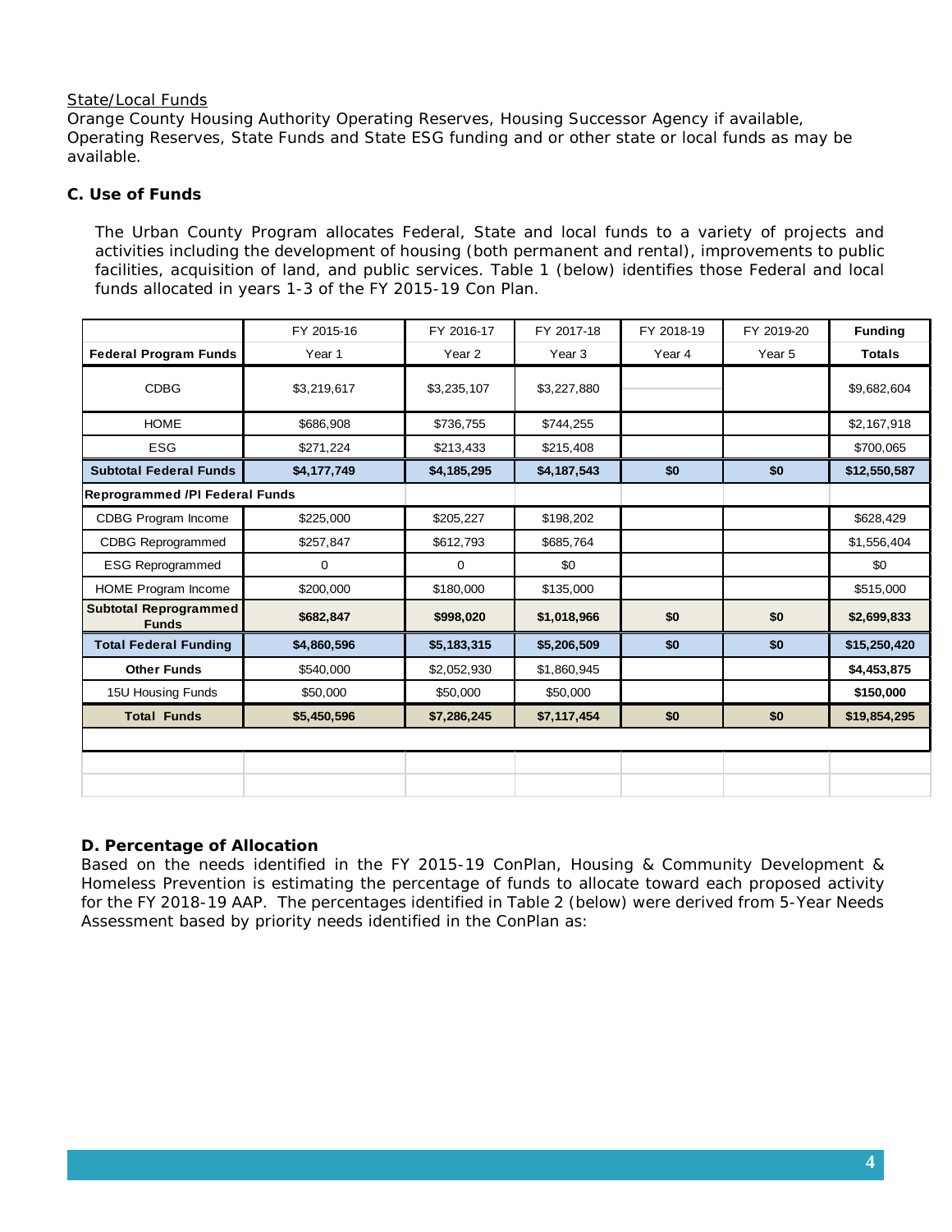## State/Local Funds

Orange County Housing Authority Operating Reserves, Housing Successor Agency if available, Operating Reserves, State Funds and State ESG funding and or other state or local funds as may be available.

## **C. Use of Funds**

The Urban County Program allocates Federal, State and local funds to a variety of projects and activities including the development of housing (both permanent and rental), improvements to public facilities, acquisition of land, and public services. Table 1 (below) identifies those Federal and local funds allocated in years 1-3 of the FY 2015-19 Con Plan.

|                                              | FY 2015-16  | FY 2016-17        | FY 2017-18        | FY 2018-19 | FY 2019-20 | <b>Funding</b> |
|----------------------------------------------|-------------|-------------------|-------------------|------------|------------|----------------|
| <b>Federal Program Funds</b>                 | Year 1      | Year <sub>2</sub> | Year <sub>3</sub> | Year 4     | Year 5     | <b>Totals</b>  |
| <b>CDBG</b>                                  | \$3,219,617 | \$3,235,107       | \$3,227,880       |            |            | \$9,682,604    |
| <b>HOME</b>                                  | \$686,908   | \$736,755         | \$744,255         |            |            | \$2,167,918    |
| <b>ESG</b>                                   | \$271,224   | \$213,433         | \$215,408         |            |            | \$700,065      |
| <b>Subtotal Federal Funds</b>                | \$4,177,749 | \$4,185,295       | \$4,187,543       | \$0        | \$0        | \$12,550,587   |
| <b>Reprogrammed /PI Federal Funds</b>        |             |                   |                   |            |            |                |
| CDBG Program Income                          | \$225,000   | \$205,227         | \$198,202         |            |            | \$628,429      |
| <b>CDBG Reprogrammed</b>                     | \$257,847   | \$612,793         | \$685,764         |            |            | \$1,556,404    |
| <b>ESG Reprogrammed</b>                      | $\mathbf 0$ | $\mathbf 0$       | \$0               |            |            | \$0            |
| HOME Program Income                          | \$200,000   | \$180,000         | \$135,000         |            |            | \$515,000      |
| <b>Subtotal Reprogrammed</b><br><b>Funds</b> | \$682,847   | \$998,020         | \$1,018,966       | \$0        | \$0        | \$2,699,833    |
| <b>Total Federal Funding</b>                 | \$4,860,596 | \$5,183,315       | \$5,206,509       | \$0        | \$0        | \$15,250,420   |
| <b>Other Funds</b>                           | \$540,000   | \$2,052,930       | \$1,860,945       |            |            | \$4,453,875    |
| 15U Housing Funds                            | \$50,000    | \$50,000          | \$50,000          |            |            | \$150,000      |
| <b>Total Funds</b>                           | \$5,450,596 | \$7,286,245       | \$7,117,454       | \$0        | \$0        | \$19,854,295   |
|                                              |             |                   |                   |            |            |                |
|                                              |             |                   |                   |            |            |                |
|                                              |             |                   |                   |            |            |                |

## **D. Percentage of Allocation**

Based on the needs identified in the FY 2015-19 ConPlan, Housing & Community Development & Homeless Prevention is estimating the percentage of funds to allocate toward each proposed activity for the FY 2018-19 AAP. The percentages identified in Table 2 (below) were derived from 5-Year Needs Assessment based by priority needs identified in the ConPlan as: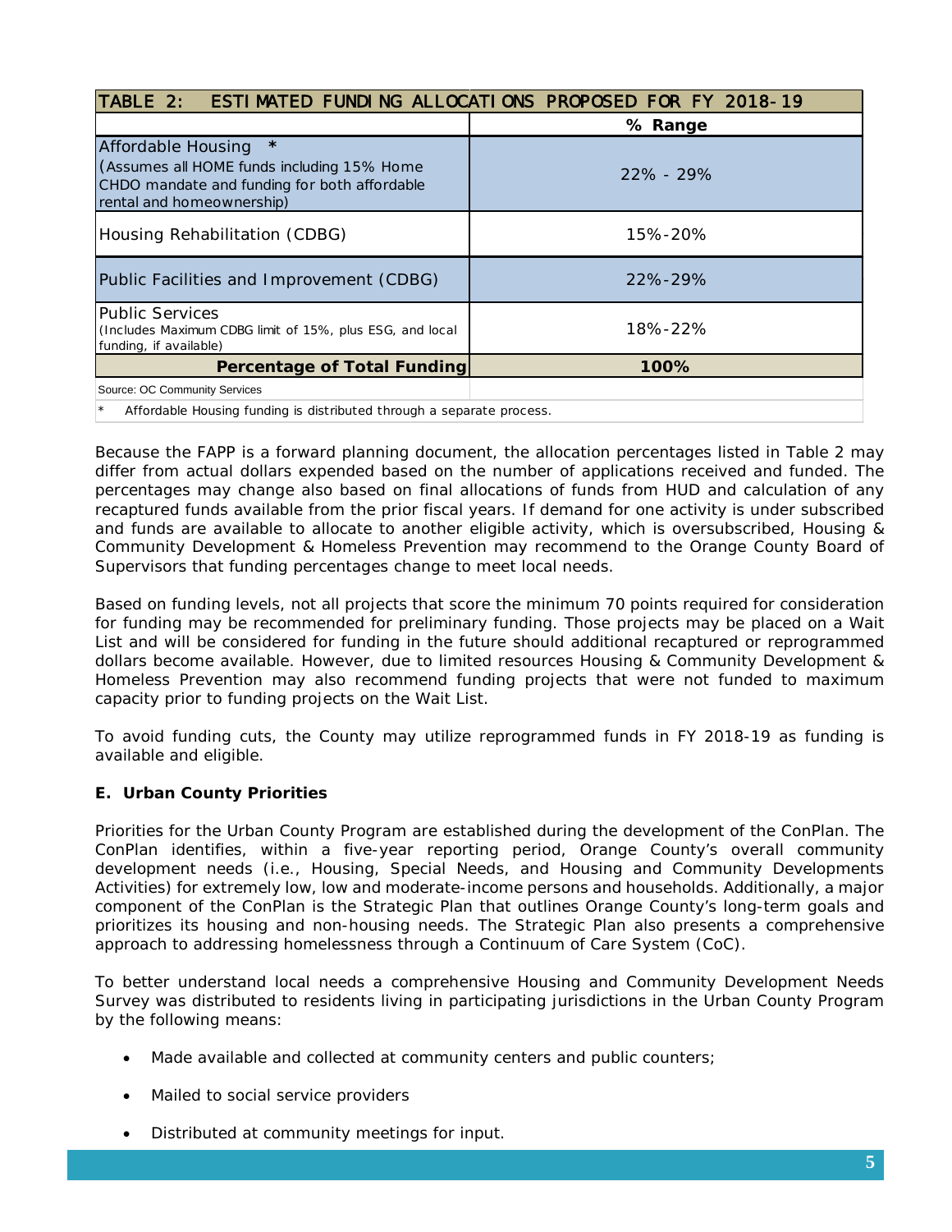| TABLE 2:                                                                                                                                                 | <b>ESTIMATED FUNDING ALLOCATIONS PROPOSED FOR FY 2018-19</b> |  |
|----------------------------------------------------------------------------------------------------------------------------------------------------------|--------------------------------------------------------------|--|
|                                                                                                                                                          | % Range                                                      |  |
| $\star$<br>Affordable Housing<br>(Assumes all HOME funds including 15% Home<br>CHDO mandate and funding for both affordable<br>rental and homeownership) | $22\% - 29\%$                                                |  |
| Housing Rehabilitation (CDBG)                                                                                                                            | 15%-20%                                                      |  |
| Public Facilities and Improvement (CDBG)                                                                                                                 | 22%-29%                                                      |  |
| <b>Public Services</b><br>(Includes Maximum CDBG limit of 15%, plus ESG, and local<br>funding, if available)                                             | 18%-22%                                                      |  |
| <b>Percentage of Total Funding</b>                                                                                                                       | 100%                                                         |  |
| Source: OC Community Services                                                                                                                            |                                                              |  |
| Affordable Housing funding is distributed through a separate process.                                                                                    |                                                              |  |

Because the FAPP is a forward planning document, the allocation percentages listed in Table 2 may differ from actual dollars expended based on the number of applications received and funded. The percentages may change also based on final allocations of funds from HUD and calculation of any recaptured funds available from the prior fiscal years. If demand for one activity is under subscribed and funds are available to allocate to another eligible activity, which is oversubscribed, Housing & Community Development & Homeless Prevention may recommend to the Orange County Board of Supervisors that funding percentages change to meet local needs.

Based on funding levels, not all projects that score the minimum 70 points required for consideration for funding may be recommended for preliminary funding. Those projects may be placed on a Wait List and will be considered for funding in the future should additional recaptured or reprogrammed dollars become available. However, due to limited resources Housing & Community Development & Homeless Prevention may also recommend funding projects that were not funded to maximum capacity prior to funding projects on the Wait List.

To avoid funding cuts, the County may utilize reprogrammed funds in FY 2018-19 as funding is available and eligible.

## **E. Urban County Priorities**

Priorities for the Urban County Program are established during the development of the ConPlan. The ConPlan identifies, within a five-year reporting period, Orange County's overall community development needs (i.e., Housing, Special Needs, and Housing and Community Developments Activities) for extremely low, low and moderate-income persons and households. Additionally, a major component of the ConPlan is the Strategic Plan that outlines Orange County's long-term goals and prioritizes its housing and non-housing needs. The Strategic Plan also presents a comprehensive approach to addressing homelessness through a Continuum of Care System (CoC).

To better understand local needs a comprehensive Housing and Community Development Needs Survey was distributed to residents living in participating jurisdictions in the Urban County Program by the following means:

- Made available and collected at community centers and public counters;
- Mailed to social service providers
- Distributed at community meetings for input.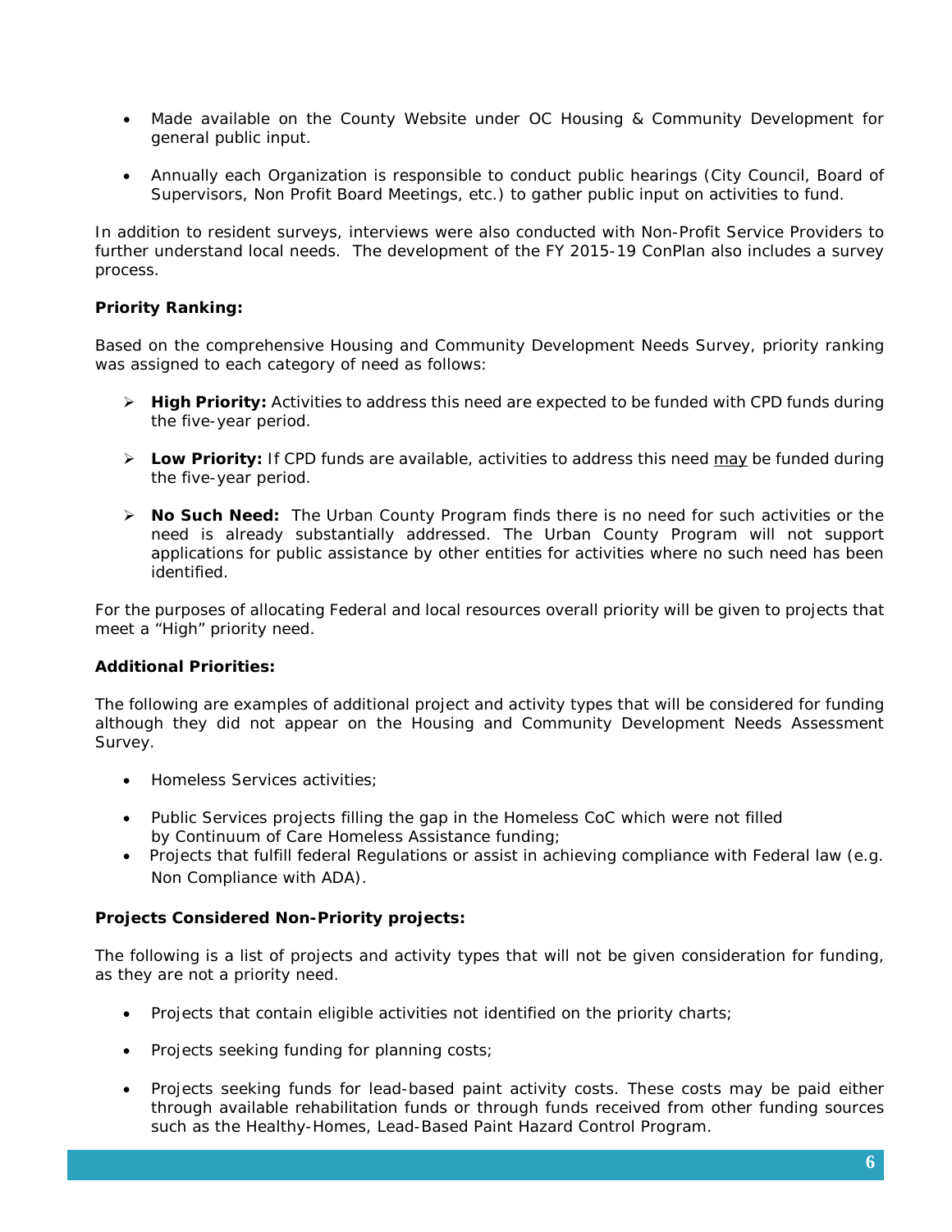- Made available on the County Website under OC Housing & Community Development for general public input.
- Annually each Organization is responsible to conduct public hearings (City Council, Board of Supervisors, Non Profit Board Meetings, etc.) to gather public input on activities to fund.

In addition to resident surveys, interviews were also conducted with Non-Profit Service Providers to further understand local needs. The development of the FY 2015-19 ConPlan also includes a survey process.

## **Priority Ranking:**

Based on the comprehensive Housing and Community Development Needs Survey, priority ranking was assigned to each category of need as follows:

- **High Priority:** Activities to address this need are expected to be funded with CPD funds during the five-year period.
- **Low Priority:** If CPD funds are available, activities to address this need may be funded during the five-year period.
- **No Such Need:** The Urban County Program finds there is no need for such activities or the need is already substantially addressed. The Urban County Program will not support applications for public assistance by other entities for activities where no such need has been identified.

For the purposes of allocating Federal and local resources overall priority will be given to projects that meet a "High" priority need.

## **Additional Priorities:**

The following are examples of additional project and activity types that will be considered for funding although they did not appear on the Housing and Community Development Needs Assessment Survey.

- Homeless Services activities;
- Public Services projects filling the gap in the Homeless CoC which were not filled by Continuum of Care Homeless Assistance funding;
- Projects that fulfill federal Regulations or assist in achieving compliance with Federal law (e.g. Non Compliance with ADA).

## **Projects Considered Non-Priority projects:**

The following is a list of projects and activity types that will not be given consideration for funding, as they are not a priority need.

- Projects that contain eligible activities not identified on the priority charts;
- Projects seeking funding for planning costs;
- Projects seeking funds for lead-based paint activity costs. These costs may be paid either through available rehabilitation funds or through funds received from other funding sources such as the Healthy-Homes, Lead-Based Paint Hazard Control Program.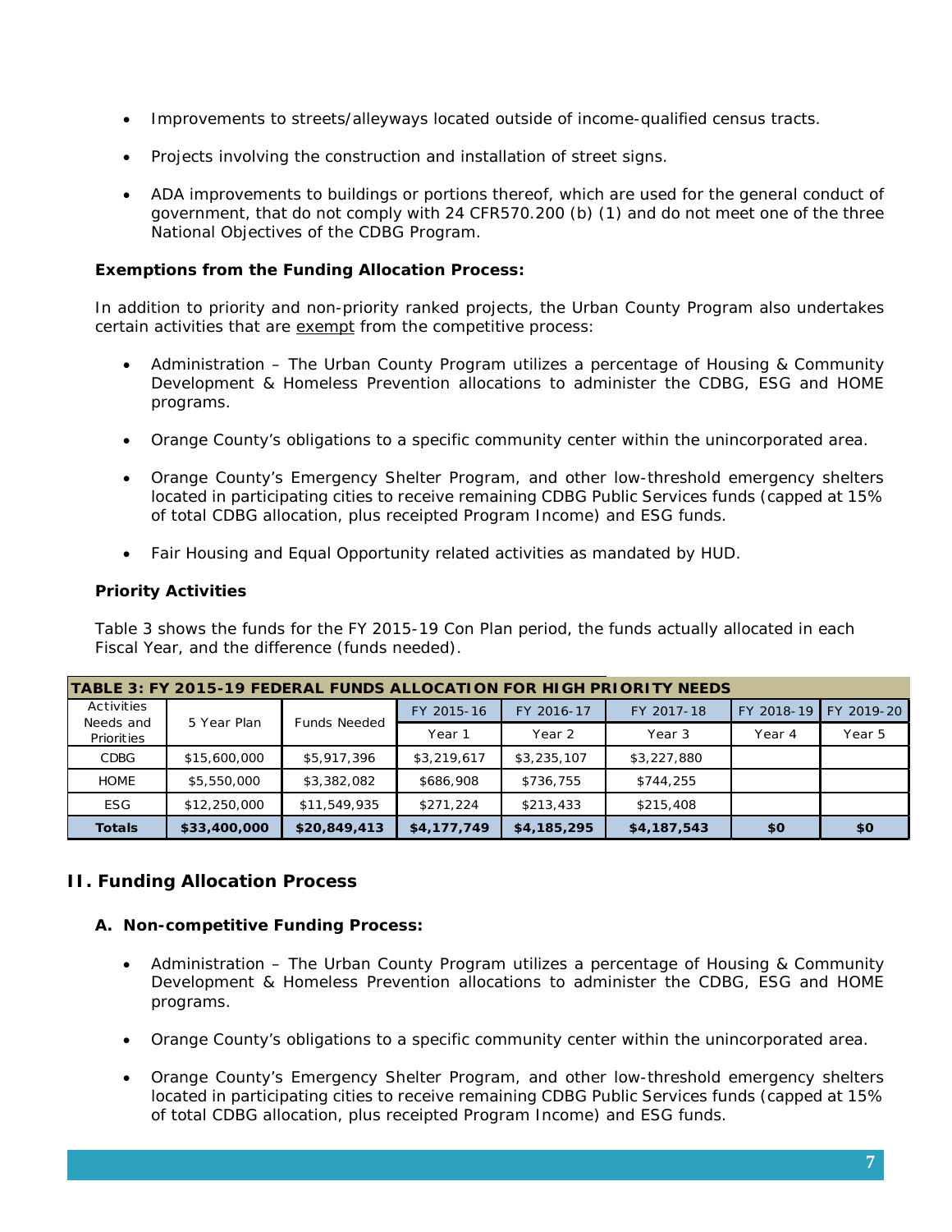- Improvements to streets/alleyways located outside of income-qualified census tracts.
- Projects involving the construction and installation of street signs.
- ADA improvements to buildings or portions thereof, which are used for the general conduct of government, that do not comply with 24 CFR570.200 (b) (1) and do not meet one of the three National Objectives of the CDBG Program.

## **Exemptions from the Funding Allocation Process:**

In addition to priority and non-priority ranked projects, the Urban County Program also undertakes certain activities that are exempt from the competitive process:

- Administration The Urban County Program utilizes a percentage of Housing & Community Development & Homeless Prevention allocations to administer the CDBG, ESG and HOME programs.
- Orange County's obligations to a specific community center within the unincorporated area.
- Orange County's Emergency Shelter Program, and other low-threshold emergency shelters located in participating cities to receive remaining CDBG Public Services funds (capped at 15% of total CDBG allocation, plus receipted Program Income) and ESG funds.
- Fair Housing and Equal Opportunity related activities as mandated by HUD.

#### **Priority Activities**

Table 3 shows the funds for the FY 2015-19 Con Plan period, the funds actually allocated in each Fiscal Year, and the difference (funds needed).

|                         |              |                     |             |             | TABLE 3: FY 2015-19 FEDERAL FUNDS ALLOCATION FOR HIGH PRIORITY NEEDS |            |            |
|-------------------------|--------------|---------------------|-------------|-------------|----------------------------------------------------------------------|------------|------------|
| Activities              |              |                     | FY 2015-16  | FY 2016-17  | FY 2017-18                                                           | FY 2018-19 | FY 2019-20 |
| Needs and<br>Priorities | 5 Year Plan  | <b>Funds Needed</b> | Year 1      | Year 2      | Year 3                                                               | Year 4     | Year 5     |
| <b>CDBG</b>             | \$15,600,000 | \$5,917,396         | \$3,219,617 | \$3,235,107 | \$3,227,880                                                          |            |            |
| <b>HOME</b>             | \$5,550,000  | \$3,382,082         | \$686,908   | \$736,755   | \$744,255                                                            |            |            |
| <b>ESG</b>              | \$12,250,000 | \$11,549,935        | \$271,224   | \$213,433   | \$215,408                                                            |            |            |
| <b>Totals</b>           | \$33,400,000 | \$20,849,413        | \$4,177,749 | \$4,185,295 | \$4,187,543                                                          | \$0        | \$0        |

## **II. Funding Allocation Process**

## **A. Non-competitive Funding Process:**

- Administration The Urban County Program utilizes a percentage of Housing & Community Development & Homeless Prevention allocations to administer the CDBG, ESG and HOME programs.
- Orange County's obligations to a specific community center within the unincorporated area.
- Orange County's Emergency Shelter Program, and other low-threshold emergency shelters located in participating cities to receive remaining CDBG Public Services funds (capped at 15% of total CDBG allocation, plus receipted Program Income) and ESG funds.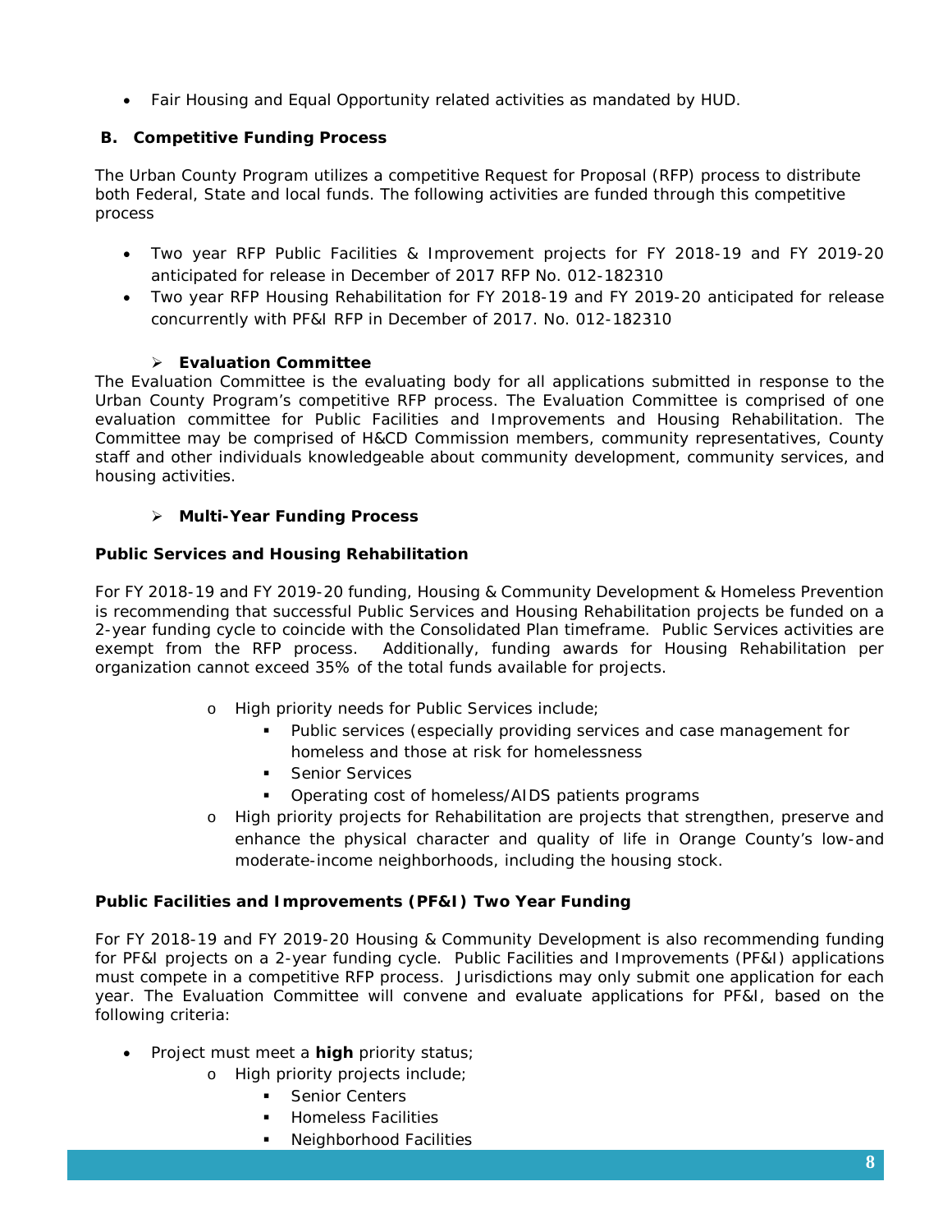• Fair Housing and Equal Opportunity related activities as mandated by HUD.

## **B. Competitive Funding Process**

The Urban County Program utilizes a competitive Request for Proposal (RFP) process to distribute both Federal, State and local funds. The following activities are funded through this competitive process

- Two year RFP Public Facilities & Improvement projects for FY 2018-19 and FY 2019-20 anticipated for release in December of 2017 RFP No. 012-182310
- Two year RFP Housing Rehabilitation for FY 2018-19 and FY 2019-20 anticipated for release concurrently with PF&I RFP in December of 2017. No. 012-182310

## **Evaluation Committee**

The Evaluation Committee is the evaluating body for all applications submitted in response to the Urban County Program's competitive RFP process. The Evaluation Committee is comprised of one evaluation committee for Public Facilities and Improvements and Housing Rehabilitation. The Committee may be comprised of H&CD Commission members, community representatives, County staff and other individuals knowledgeable about community development, community services, and housing activities.

## **Multi-Year Funding Process**

## **Public Services and Housing Rehabilitation**

For FY 2018-19 and FY 2019-20 funding, Housing & Community Development & Homeless Prevention is recommending that successful Public Services and Housing Rehabilitation projects be funded on a 2-year funding cycle to coincide with the Consolidated Plan timeframe. Public Services activities are exempt from the RFP process. Additionally, funding awards for Housing Rehabilitation per organization cannot exceed 35% of the total funds available for projects.

- o High priority needs for Public Services include;
	- Public services (especially providing services and case management for homeless and those at risk for homelessness
	- **Senior Services**
	- **•** Operating cost of homeless/AIDS patients programs
- o High priority projects for Rehabilitation are projects that strengthen, preserve and enhance the physical character and quality of life in Orange County's low-and moderate-income neighborhoods, including the housing stock.

## **Public Facilities and Improvements (PF&I) Two Year Funding**

For FY 2018-19 and FY 2019-20 Housing & Community Development is also recommending funding for PF&I projects on a 2-year funding cycle. Public Facilities and Improvements (PF&I) applications must compete in a competitive RFP process. Jurisdictions may only submit one application for each year. The Evaluation Committee will convene and evaluate applications for PF&I, based on the following criteria:

- Project must meet a **high** priority status;
	- o High priority projects include;
		- Senior Centers
		- Homeless Facilities
		- **Neighborhood Facilities**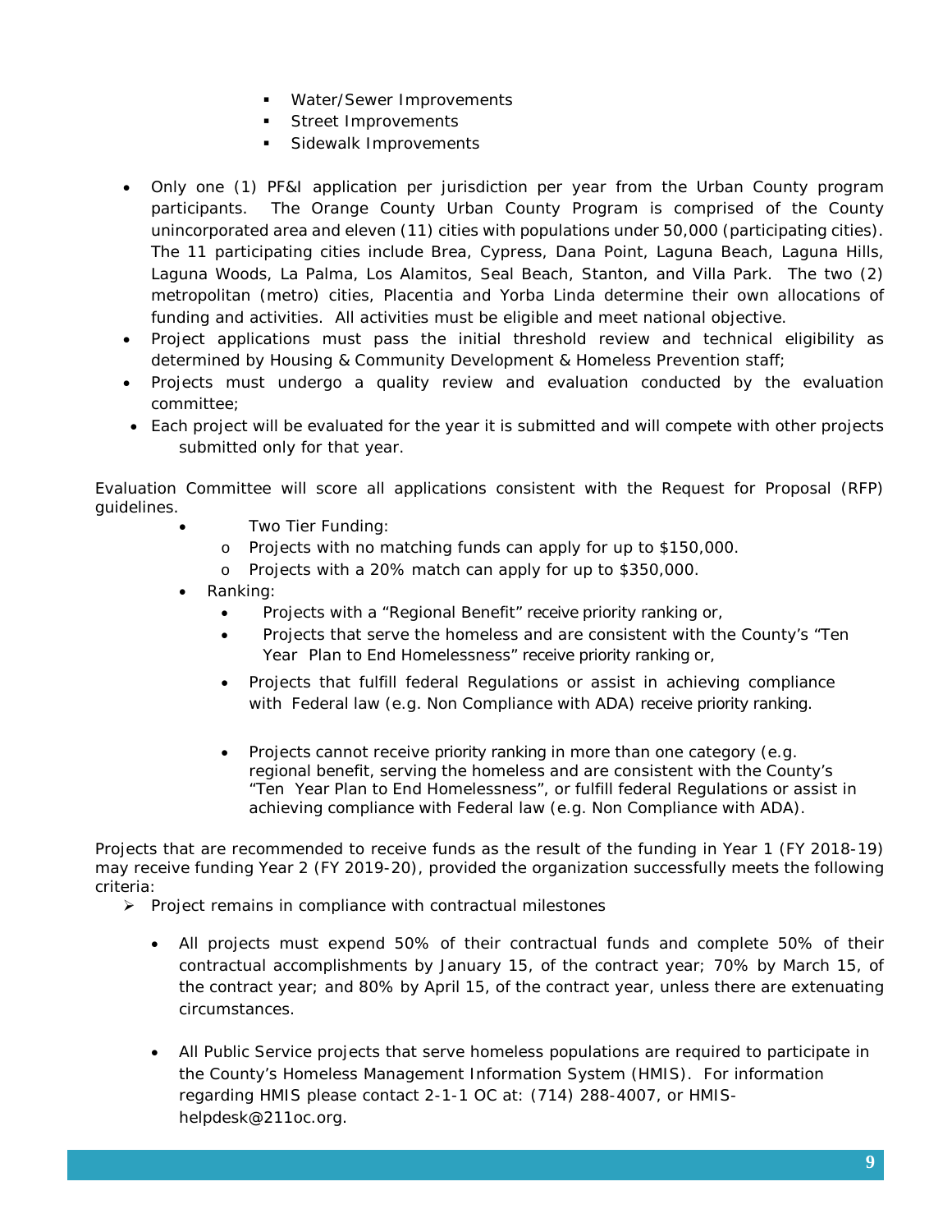- **Water/Sewer Improvements**
- **Street Improvements**
- **Sidewalk Improvements**
- Only one (1) PF&I application per jurisdiction per year from the Urban County program participants. The Orange County Urban County Program is comprised of the County unincorporated area and eleven (11) cities with populations under 50,000 (participating cities). The 11 participating cities include Brea, Cypress, Dana Point, Laguna Beach, Laguna Hills, Laguna Woods, La Palma, Los Alamitos, Seal Beach, Stanton, and Villa Park. The two (2) metropolitan (metro) cities, Placentia and Yorba Linda determine their own allocations of funding and activities. All activities must be eligible and meet national objective.
- Project applications must pass the initial threshold review and technical eligibility as determined by Housing & Community Development & Homeless Prevention staff;
- Projects must undergo a quality review and evaluation conducted by the evaluation committee;
- Each project will be evaluated for the year it is submitted and will compete with other projects submitted only for that year.

Evaluation Committee will score all applications consistent with the Request for Proposal (RFP) guidelines.

- Two Tier Funding:
	- o Projects with no matching funds can apply for up to \$150,000.
	- o Projects with a 20% match can apply for up to \$350,000.
- Ranking:
	- Projects with a "Regional Benefit" receive priority ranking or,
	- Projects that serve the homeless and are consistent with the County's "Ten Year Plan to End Homelessness" receive priority ranking or,
	- Projects that fulfill federal Regulations or assist in achieving compliance with Federal law (e.g. Non Compliance with ADA) receive priority ranking.
	- Projects cannot receive priority ranking in more than one category (e.g. regional benefit, serving the homeless and are consistent with the County's "Ten Year Plan to End Homelessness", or fulfill federal Regulations or assist in achieving compliance with Federal law (e.g. Non Compliance with ADA).

Projects that are recommended to receive funds as the result of the funding in Year 1 (FY 2018-19) may receive funding Year 2 (FY 2019-20), provided the organization successfully meets the following criteria:

- $\triangleright$  Project remains in compliance with contractual milestones
	- All projects must expend 50% of their contractual funds and complete 50% of their contractual accomplishments by January 15, of the contract year; 70% by March 15, of the contract year; and 80% by April 15, of the contract year, unless there are extenuating circumstances.
	- All Public Service projects that serve homeless populations are required to participate in the County's Homeless Management Information System (HMIS). For information regarding HMIS please contact 2-1-1 OC at: (714) 288-4007, or HMIShelpdesk@211oc.org.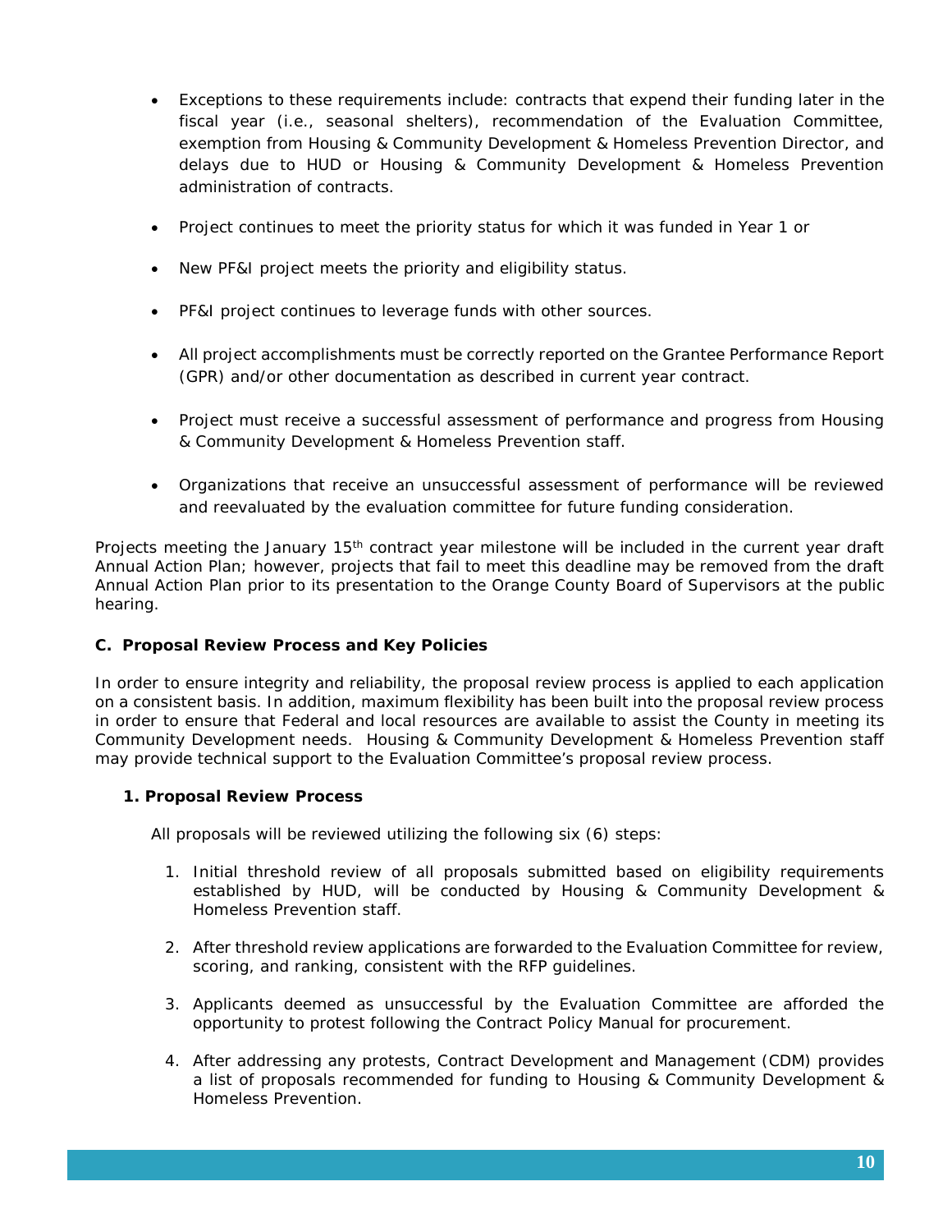- Exceptions to these requirements include: contracts that expend their funding later in the fiscal year (i.e., seasonal shelters), recommendation of the Evaluation Committee, exemption from Housing & Community Development & Homeless Prevention Director, and delays due to HUD or Housing & Community Development & Homeless Prevention administration of contracts.
- Project continues to meet the priority status for which it was funded in Year 1 or
- New PF&I project meets the priority and eligibility status.
- PF&I project continues to leverage funds with other sources.
- All project accomplishments must be correctly reported on the Grantee Performance Report (GPR) and/or other documentation as described in current year contract.
- Project must receive a successful assessment of performance and progress from Housing & Community Development & Homeless Prevention staff.
- Organizations that receive an unsuccessful assessment of performance will be reviewed and reevaluated by the evaluation committee for future funding consideration.

Projects meeting the January 15<sup>th</sup> contract year milestone will be included in the current year draft Annual Action Plan; however, projects that fail to meet this deadline may be removed from the draft Annual Action Plan prior to its presentation to the Orange County Board of Supervisors at the public hearing.

## **C. Proposal Review Process and Key Policies**

In order to ensure integrity and reliability, the proposal review process is applied to each application on a consistent basis. In addition, maximum flexibility has been built into the proposal review process in order to ensure that Federal and local resources are available to assist the County in meeting its Community Development needs. Housing & Community Development & Homeless Prevention staff may provide technical support to the Evaluation Committee's proposal review process.

## **1. Proposal Review Process**

All proposals will be reviewed utilizing the following six (6) steps:

- 1. Initial threshold review of all proposals submitted based on eligibility requirements established by HUD, will be conducted by Housing & Community Development & Homeless Prevention staff.
- 2. After threshold review applications are forwarded to the Evaluation Committee for review, scoring, and ranking, consistent with the RFP guidelines.
- 3. Applicants deemed as unsuccessful by the Evaluation Committee are afforded the opportunity to protest following the Contract Policy Manual for procurement.
- 4. After addressing any protests, Contract Development and Management (CDM) provides a list of proposals recommended for funding to Housing & Community Development & Homeless Prevention.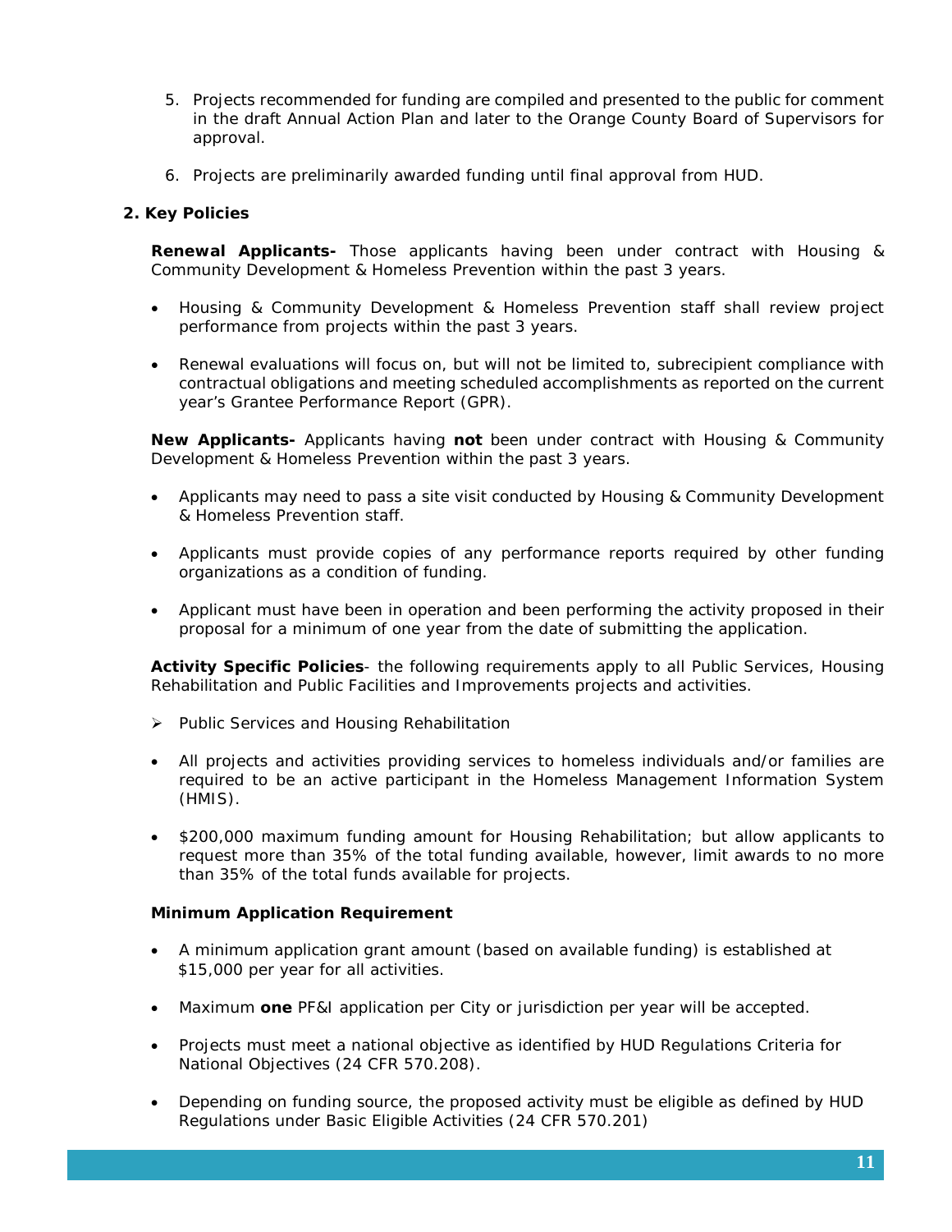- 5. Projects recommended for funding are compiled and presented to the public for comment in the draft Annual Action Plan and later to the Orange County Board of Supervisors for approval.
- 6. Projects are preliminarily awarded funding until final approval from HUD.

## **2. Key Policies**

**Renewal Applicants-** Those applicants having been under contract with Housing & Community Development & Homeless Prevention within the past 3 years.

- Housing & Community Development & Homeless Prevention staff shall review project performance from projects within the past 3 years.
- Renewal evaluations will focus on, but will not be limited to, subrecipient compliance with contractual obligations and meeting scheduled accomplishments as reported on the current year's Grantee Performance Report (GPR).

**New Applicants-** Applicants having **not** been under contract with Housing & Community Development & Homeless Prevention within the past 3 years.

- Applicants may need to pass a site visit conducted by Housing & Community Development & Homeless Prevention staff.
- Applicants must provide copies of any performance reports required by other funding organizations as a condition of funding.
- Applicant must have been in operation and been performing the activity proposed in their proposal for a minimum of one year from the date of submitting the application.

**Activity Specific Policies**- the following requirements apply to all Public Services, Housing Rehabilitation and Public Facilities and Improvements projects and activities.

- $\triangleright$  Public Services and Housing Rehabilitation
- All projects and activities providing services to homeless individuals and/or families are required to be an active participant in the Homeless Management Information System (HMIS).
- \$200,000 maximum funding amount for Housing Rehabilitation; but allow applicants to request more than 35% of the total funding available, however, limit awards to no more than 35% of the total funds available for projects.

## **Minimum Application Requirement**

- A minimum application grant amount (based on available funding) is established at \$15,000 per year for all activities.
- Maximum **one** PF&I application per City or jurisdiction per year will be accepted.
- Projects must meet a national objective as identified by HUD Regulations Criteria for National Objectives (24 CFR 570.208).
- Depending on funding source, the proposed activity must be eligible as defined by HUD Regulations under Basic Eligible Activities (24 CFR 570.201)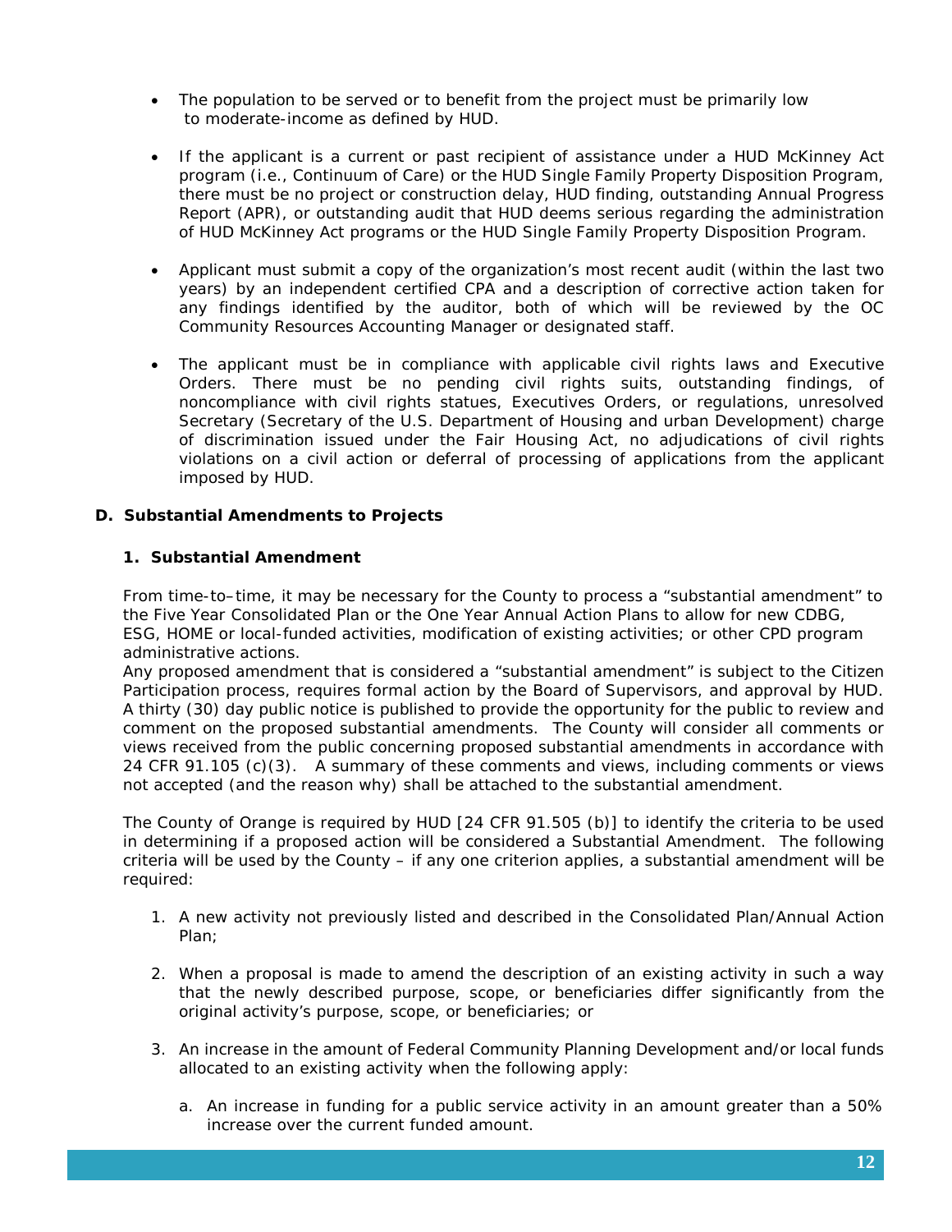- The population to be served or to benefit from the project must be primarily low to moderate-income as defined by HUD.
- If the applicant is a current or past recipient of assistance under a HUD McKinney Act program (i.e., Continuum of Care) or the HUD Single Family Property Disposition Program, there must be no project or construction delay, HUD finding, outstanding Annual Progress Report (APR), or outstanding audit that HUD deems serious regarding the administration of HUD McKinney Act programs or the HUD Single Family Property Disposition Program.
- Applicant must submit a copy of the organization's most recent audit (within the last two years) by an independent certified CPA and a description of corrective action taken for any findings identified by the auditor, both of which will be reviewed by the OC Community Resources Accounting Manager or designated staff.
- The applicant must be in compliance with applicable civil rights laws and Executive Orders. There must be no pending civil rights suits, outstanding findings, of noncompliance with civil rights statues, Executives Orders, or regulations, unresolved Secretary (Secretary of the U.S. Department of Housing and urban Development) charge of discrimination issued under the Fair Housing Act, no adjudications of civil rights violations on a civil action or deferral of processing of applications from the applicant imposed by HUD.

## **D. Substantial Amendments to Projects**

## **1. Substantial Amendment**

From time-to–time, it may be necessary for the County to process a "substantial amendment" to the Five Year Consolidated Plan or the One Year Annual Action Plans to allow for new CDBG, ESG, HOME or local-funded activities, modification of existing activities; or other CPD program administrative actions.

Any proposed amendment that is considered a "substantial amendment" is subject to the Citizen Participation process, requires formal action by the Board of Supervisors, and approval by HUD. A thirty (30) day public notice is published to provide the opportunity for the public to review and comment on the proposed substantial amendments. The County will consider all comments or views received from the public concerning proposed substantial amendments in accordance with 24 CFR 91.105 (c)(3). A summary of these comments and views, including comments or views not accepted (and the reason why) shall be attached to the substantial amendment.

The County of Orange is required by HUD [24 CFR 91.505 (b)] to identify the criteria to be used in determining if a proposed action will be considered a *Substantial Amendment.* The following criteria will be used by the County – if any one criterion applies, a substantial amendment will be required:

- 1. A new activity not previously listed and described in the Consolidated Plan/Annual Action Plan;
- 2. When a proposal is made to amend the description of an existing activity in such a way that the newly described purpose, scope, or beneficiaries differ significantly from the original activity's purpose, scope, or beneficiaries; or
- 3. An increase in the amount of Federal Community Planning Development and/or local funds allocated to an existing activity when the following apply:
	- a. An increase in funding for a public service activity in an amount greater than a 50% increase over the current funded amount.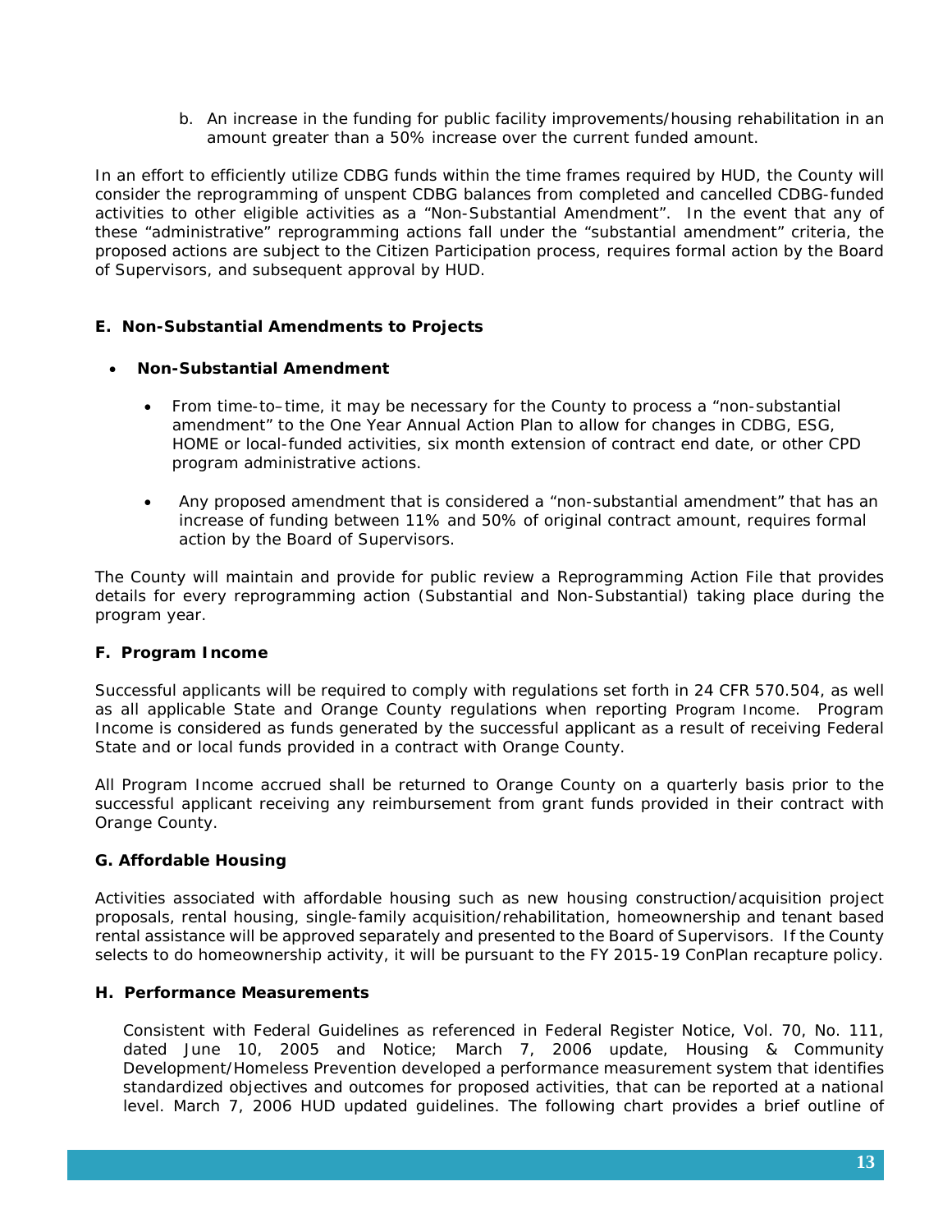b. An increase in the funding for public facility improvements/housing rehabilitation in an amount greater than a 50% increase over the current funded amount.

In an effort to efficiently utilize CDBG funds within the time frames required by HUD, the County will consider the reprogramming of unspent CDBG balances from completed and cancelled CDBG-funded activities to other eligible activities as a "Non-Substantial Amendment". In the event that any of these "administrative" reprogramming actions fall under the "substantial amendment" criteria, the proposed actions are subject to the Citizen Participation process, requires formal action by the Board of Supervisors, and subsequent approval by HUD.

## **E. Non-Substantial Amendments to Projects**

## • **Non-Substantial Amendment**

- From time-to–time, it may be necessary for the County to process a "non-substantial amendment" to the One Year Annual Action Plan to allow for changes in CDBG, ESG, HOME or local-funded activities, six month extension of contract end date, or other CPD program administrative actions.
- Any proposed amendment that is considered a "non-substantial amendment" that has an increase of funding between 11% and 50% of original contract amount, requires formal action by the Board of Supervisors.

The County will maintain and provide for public review a Reprogramming Action File that provides details for every reprogramming action (Substantial and Non-Substantial) taking place during the program year.

## **F. Program Income**

Successful applicants will be required to comply with regulations set forth in 24 CFR 570.504, as well as all applicable State and Orange County regulations when reporting Program Income. Program Income is considered as funds generated by the successful applicant as a result of receiving Federal State and or local funds provided in a contract with Orange County.

All Program Income accrued shall be returned to Orange County on a quarterly basis prior to the successful applicant receiving any reimbursement from grant funds provided in their contract with Orange County.

## **G. Affordable Housing**

Activities associated with affordable housing such as new housing construction/acquisition project proposals, rental housing, single-family acquisition/rehabilitation, homeownership and tenant based rental assistance will be approved separately and presented to the Board of Supervisors. If the County selects to do homeownership activity, it will be pursuant to the FY 2015-19 ConPlan recapture policy.

## **H. Performance Measurements**

Consistent with Federal Guidelines as referenced in Federal Register Notice, Vol. 70, No. 111, dated June 10, 2005 and Notice; March 7, 2006 update, Housing & Community Development/Homeless Prevention developed a performance measurement system that identifies standardized objectives and outcomes for proposed activities, that can be reported at a national level. March 7, 2006 HUD updated guidelines. The following chart provides a brief outline of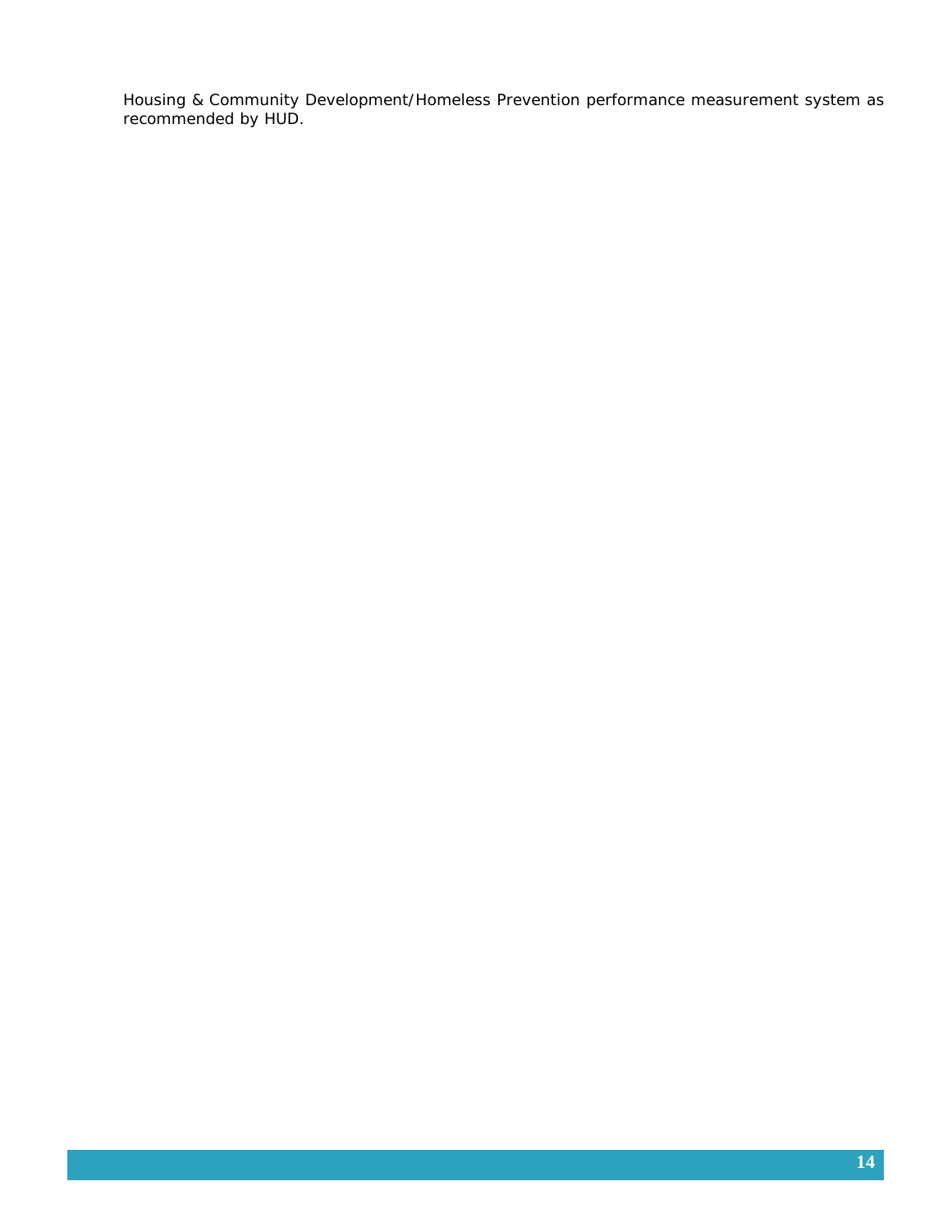Housing & Community Development/Homeless Prevention performance measurement system as recommended by HUD.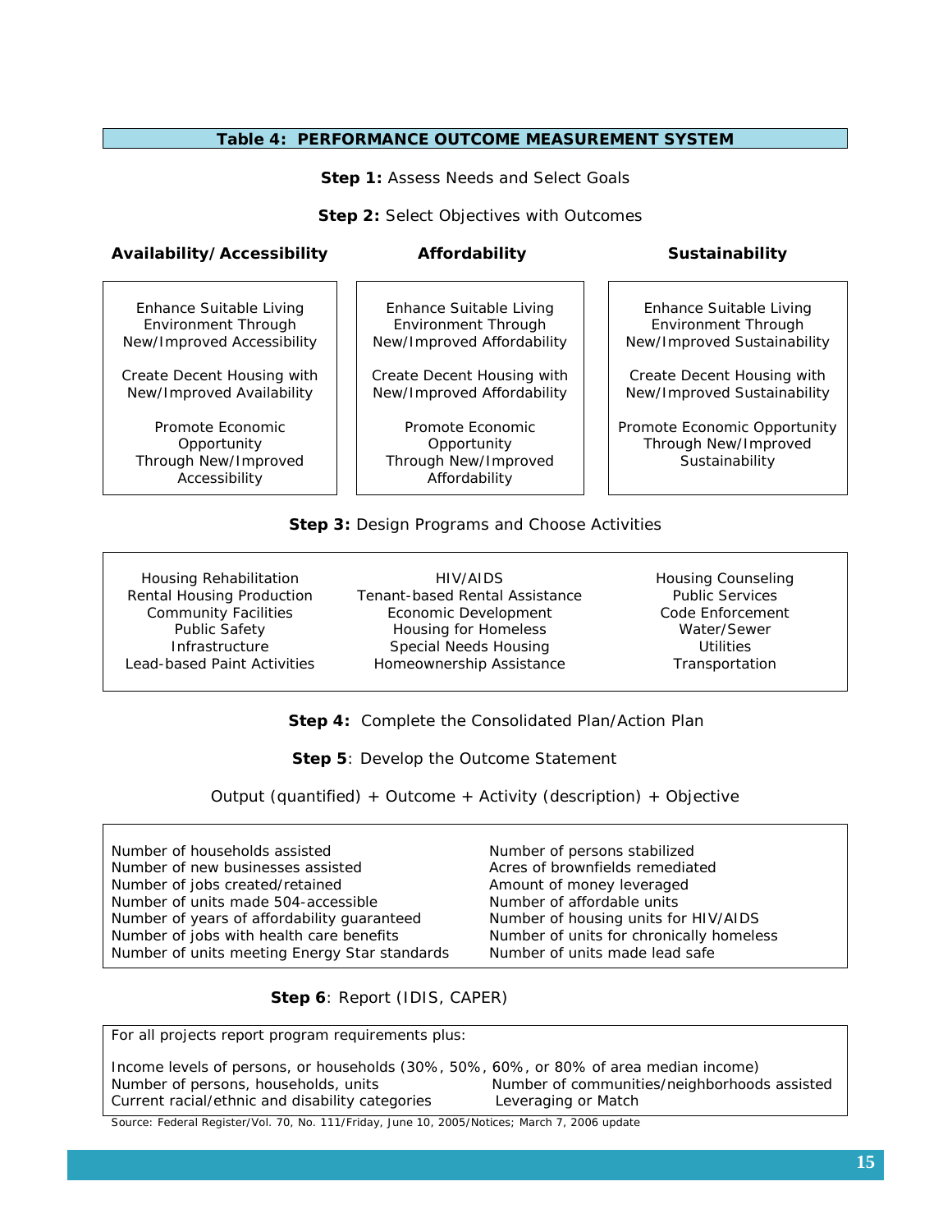#### **Table 4: PERFORMANCE OUTCOME MEASUREMENT SYSTEM**

**Step 1: Assess Needs and Select Goals** 

**Step 2: Select Objectives with Outcomes** 

#### **Availability/Accessibility Affordability Sustainability**

Enhance Suitable Living Environment Through New/Improved Accessibility

Create Decent Housing with New/Improved Availability

Promote Economic **Opportunity** Through New/Improved Accessibility

Enhance Suitable Living Environment Through New/Improved Affordability

Create Decent Housing with New/Improved Affordability

Promote Economic **Opportunity** Through New/Improved Affordability

Enhance Suitable Living Environment Through New/Improved Sustainability

Create Decent Housing with New/Improved Sustainability

Promote Economic Opportunity Through New/Improved Sustainability

#### **Step 3:** Design Programs and Choose Activities

Housing Rehabilitation Rental Housing Production Community Facilities Public Safety **Infrastructure** Lead-based Paint Activities

HIV/AIDS Tenant-based Rental Assistance Economic Development Housing for Homeless Special Needs Housing Homeownership Assistance

Housing Counseling Public Services Code Enforcement Water/Sewer **Utilities Transportation** 

 **Step 4:** Complete the Consolidated Plan/Action Plan

**Step 5: Develop the Outcome Statement** 

Output (quantified) + Outcome + Activity (description) + Objective

Number of households assisted Number of new businesses assisted Number of jobs created/retained Number of units made 504-accessible Number of years of affordability guaranteed Number of jobs with health care benefits Number of units meeting Energy Star standards Number of persons stabilized Acres of brownfields remediated Amount of money leveraged Number of affordable units Number of housing units for HIV/AIDS Number of units for chronically homeless Number of units made lead safe

 **Step 6**: Report (IDIS, CAPER)

For all projects report program requirements plus:

Income levels of persons, or households (30%, 50%, 60%, or 80% of area median income) Number of persons, households, units Number of communities/neighborhoods assisted Current racial/ethnic and disability categories Leveraging or Match

Source: Federal Register/Vol. 70, No. 111/Friday, June 10, 2005/Notices; March 7, 2006 update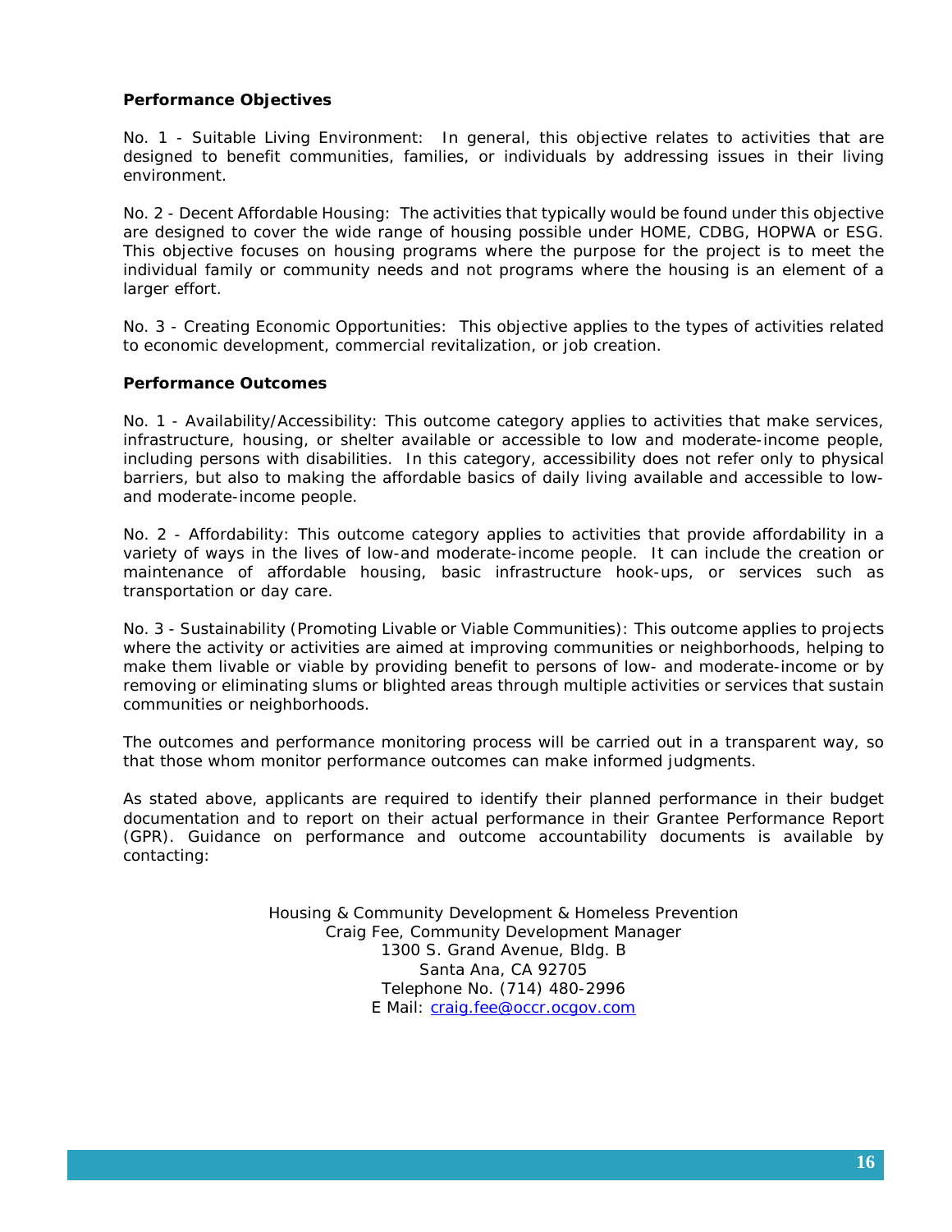## **Performance Objectives**

No. 1 - Suitable Living Environment: In general, this objective relates to activities that are designed to benefit communities, families, or individuals by addressing issues in their living environment.

No. 2 - Decent Affordable Housing: The activities that typically would be found under this objective are designed to cover the wide range of housing possible under HOME, CDBG, HOPWA or ESG. This objective focuses on housing programs where the purpose for the project is to meet the individual family or community needs and not programs where the housing is an element of a larger effort.

No. 3 - Creating Economic Opportunities: This objective applies to the types of activities related to economic development, commercial revitalization, or job creation.

#### **Performance Outcomes**

No. 1 - Availability/Accessibility: This outcome category applies to activities that make services, infrastructure, housing, or shelter available or accessible to low and moderate-income people, including persons with disabilities. In this category, accessibility does not refer only to physical barriers, but also to making the affordable basics of daily living available and accessible to lowand moderate-income people.

No. 2 - Affordability: This outcome category applies to activities that provide affordability in a variety of ways in the lives of low-and moderate-income people. It can include the creation or maintenance of affordable housing, basic infrastructure hook-ups, or services such as transportation or day care.

No. 3 - Sustainability (Promoting Livable or Viable Communities): This outcome applies to projects where the activity or activities are aimed at improving communities or neighborhoods, helping to make them livable or viable by providing benefit to persons of low- and moderate-income or by removing or eliminating slums or blighted areas through multiple activities or services that sustain communities or neighborhoods.

The outcomes and performance monitoring process will be carried out in a transparent way, so that those whom monitor performance outcomes can make informed judgments.

As stated above, applicants are required to identify their planned performance in their budget documentation and to report on their actual performance in their Grantee Performance Report (GPR). Guidance on performance and outcome accountability documents is available by contacting:

> Housing & Community Development & Homeless Prevention Craig Fee, Community Development Manager 1300 S. Grand Avenue, Bldg. B Santa Ana, CA 92705 Telephone No. (714) 480-2996 E Mail: [craig.fee@occr.ocgov.com](mailto:craig.fee@occr.ocgov.com)